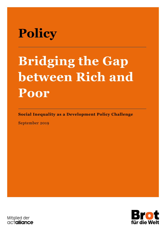# Policy

# Bridging the Gap between Rich and Poor

Social Inequality as a Development Policy Challenge

September 2019



Mitglied der actalliance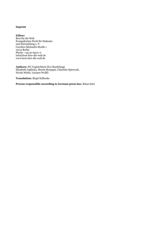#### Imprint

Editor: Brot für die Welt Evangelisches Werk für Diakonie und Entwicklung e. V. Caroline-Michaelis-Straße 1 10115 Berlin Phone: +49 30 65211 0 info@brot-fuer-die-welt.de www.brot-fuer-die-welt.de

Authors: PG Ungleichheit (Eva Hanfstängl, Elisabeth Jeglitzka, Martin Remppis, Charlotte Spiewock, Nicola Wiebe, Luciano Wolff)

Translation: Birgit Kolboske

Person responsible according to German press law: Klaus Seitz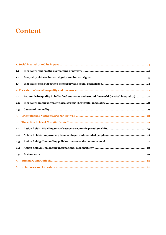# **Content**

| 1,1 |  |
|-----|--|
| 1.2 |  |
| 1.3 |  |
|     |  |
| 2.1 |  |
| 2.2 |  |
| 2.3 |  |
| 3.  |  |
| 4.  |  |
| 4.1 |  |
| 4.2 |  |
| 4.3 |  |
| 4.4 |  |
| 4.5 |  |
| 5.  |  |
| 6.  |  |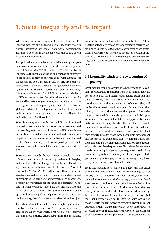# 1. Social inequality and its impact

Who speaks of poverty cannot keep silent on wealth. Fighting poverty and reducing social inequality are two closely interwoven aspects of sustainable development. This affects societies in the global North and South, as well as our global coexistence.

This policy document reflects on social inequality and poverty taking into consideration the work of partner organizations of Brot für die Welt (Bread for the World) worldwide. It promotes the problematization and combating of poverty in the specific context of societies in the Global South. Yet the reasons for social inequality and poverty are often systemic, that is, they are caused by our globalised economic system and the related (international) political economy. Likewise, mechanisms of social disadvantage act similarly in different contexts. For the political work of Brot für die Welt and its partner organisations, it is therefore important to recognize inequality, poverty and their inherent risks for globally sustainable development, as well as their causes and effects, and to address them as a problem both globally and in the North-South context.

Social inequality refers to the unequal distribution of and unequal access to material and non-material resources, and the resulting permanent and involuntary differences in opportunities for social, economic, cultural and political participation and the realisation of individual potential and rights. This structurally conditioned privileging or disadvantaging inequality cannot be equated with social diversity.

Societies are marked by the coexistence of people who contribute a great variety of talents, approaches and lifestyles, and who have different backgrounds or beliefs. This diversity constitutes the human wealth of a society. A central concern for Brot für die Welt is that, notwithstanding all diversity, equal rights and equal participation and equivalent opportunities for living and achievements are guaranteed. Brot für die Welt stands for the vision of a participatory society in which everyone »may have life, and have it to the full« (John 10: 10) (EWDE 2012, S.1). If equal rights, equal opportunities and equal participation are denied due to social inequality, Brot für die Welt considers this to be unjust.

The extent of social inequality is alarmingly high in many countries and at the global level. Together with partner organisations all over the world, Brot für die Welt observes that numerous negative effects result from this inequality, both for the individual as well as for society at large. These negative effects are reason for addressing inequality. According to Brot für die Welt, the following issues are particularly noteworthy: (1) persistent poverty as a result of inequality, (2) the violation of human rights and human dignity, and (3) the threats to democracy and social coexistence.

## 1.1 Inequality hinders the overcoming of poverty

Great inequality in a society leads to poverty and to its constant reproduction. If children from poor families have no access to healthy food, health care, quality education and social networks, it will later prove difficult for them to access the labour market or means of production. They will not be able to participate in economic development. They inherit, so to speak, the poverty of their parents. The wider the gap between different social groups and their living environments, the less social mobility and opportunity for social advancement. Inequality directly contributes to people remaining trapped in a vicious circle of poverty, exclusion and lack of opportunities. Exclusion processes of this kind miss opportunities for broad-based economic development and prevent social transformation. The annual United Nations Millennium Development Goals Reports have repeatedly made clear that despite generally positive development trends in reducing hunger and poverty, access to drinking water or the provision of sanitary facilities, the particularly poor and marginalised population groups—especially those living in rural areas—are often not reached.

Inequality has long been justified as a necessary side effect of economic development, from which »growing out« of poverty could be expected. Thus, for instance, China's economic development over the last thirty years is considered a success story. Millions of new jobs have enabled an impressive reduction of poverty. At the same time, the inequality of income and wealth has increased dramatically. Economic development can induce poverty reduction—but must not necessarily do so. In India or South Africa, the broad poverty reducing effect of economic growth in recent years has largely failed to materialize. Economic growth led to jobless growth, that is, neither the levels of employment or of income saw any comprehensive increase, nor were the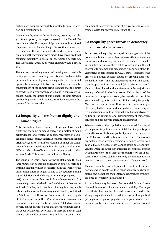higher state revenues adequately allocated to social protection and redistribution.

Calculations by the World Bank show, however, that the goal to end poverty by 2030, as agreed in the United Nations Sustainable Development Agenda, cannot be achieved if current trends of social inequality continue or worsen. Even many of the international actors who assume a continuation of the present growth model have recognized that reducing inequality is crucial in overcoming poverty (cf. The World Bank 2016, p. 9; World Inequality Lab 2017, p. 14).

The current prevailing model of development predominantly geared to economic growth is now fundamentally questioned because it produces inequality, poverty, social upheaval and ecological destruction. Not least the dramatic consequences of the climate crisis evidence that the limits to growth have already been reached, and in some cases exceeded. Given the limits of our planet, the link between overcoming poverty and the need to reduce inequality becomes all the more evident.

## 1.2 Inequality violates human dignity and human rights

Notwithstanding their diversity, all people have equal rights and the same human dignity. It is a matter of being acknowledged and treated as equals, regardless of socioeconomic status, caste, ethnicity, gender identity and sexual orientation, state of health or religion. But under the conditions of current social inequality, the reality is often very different. The value of human life is measured with different standards. This is an attack on human dignity.

The situation in which, despite growing global wealth, such large numbers of people are still living in abject poverty and extreme inequality must be described, in the words of the philosopher Thomas Pogge, as one of the greatest human rights violations in the history of humanity (Pogge 2011, p. 308). Poverty means that people do not have a standard of living adequate for the health and well-being of themselves and their families, including food, clothing, housing, medical care, education and necessary social benefits, as defined in Article 25 of the Universal Declaration of Human Rights of 1948, and set out in the 1966 International Covenant on Economic, Social and Cultural Rights. Yet today, serious poverty could be avoided given that there are enough essential goods available for everyone. The increase alone in total assets of billionaires between 2016 and 2017 is seven times

the amount necessary in terms of figures to eradicate extreme poverty for everyone (cf. Oxfam 2018).

## 1.3 Inequality poses threats to democracy and social coexistence

Distinct social inequality not only disadvantages part of the population, but also has a direct adverse effect on the functioning of our democracy and social coexistence. Formal legal equality to exercise the right to vote is not a sufficient prerequisite for a working democracy. An analysis of the development of democracies in OECD states establishes the erosion of political equality caused by growing socio-economic differences, and the unequal educational and participatory opportunities they entail (cf. Merkel et al. 2015). Thus, it is less likely that the preferences of the majority are actually reflected in election results. This violation of the democratic concept can currently be regarded as one of the greatest challenges for societies with increasing inequality. Moreover, democracies are thus becoming more susceptible to targeted fake news and manipulation. Social inequality is instrumentalised for national populist objectives, resulting in the exclusion and discrimination of minorities, refugees and people with migrant backgrounds.

Whereas parts of the population are excluded from equal participation in political and societal life, inequality promotes the concentration of political power in the hands of a few. Milanović cites the situation in the United States as an example: »When average earners are denied access to a good education because they cannot afford to attend university; when the super rich influence the political agenda with their money—then these are the characteristics of plutocratic rule, whose stability can only be maintained with an ever-increasing security apparatus« (Milanovic 2015).

This increases the risk that populist currents will gain importance when people feel their sense of justice has been violated, and do not see their interests represented by political elites they perceive as distanced.

Extreme inequality increases the potential for social conflict and threatens political and societal stability. The negative effects that can be observed in societies marked by strong inequality include, in addition to the low political participation of poorer population groups, a loss of confidence in politics, increasing fear as well as poorer physical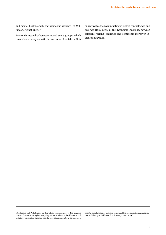and mental health, and higher crime and violence (cf. Wilkinson/Pickett 2009).<sup>1</sup>

Economic inequality between several social groups, which is considered as systematic, is one cause of social conflicts or aggravates them culminating in violent conflicts, war and civil war (ISSC 2016, p. 10). Economic inequality between different regions, countries and continents moreover increases migration.

-

obesity, social mobility, trust and communal life, violence, teenage pregnancies, well-being of children (cf. Wilkinson/Pickett 2009).

<sup>1</sup> Wilkinson and Pickett refer in their study (23 countries) to the negative statistical context for higher inequality with the following health and social indictors: physical and mental health, drug abuse, education, delinquency,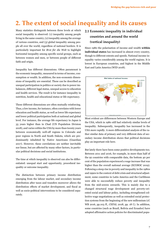# 2. The extent of social inequality and its causes

Many statistics distinguish between three levels at which social inequality is observed: (1) inequality among people living in the same country, (2) inequality among the average of various countries, and (3) global inequality among people all over the world, regardless of national borders. It is particularly important for Brot für die Welt to highlight horizontal inequality among specific social groups, such as between women and men, or between people of different faith and origin.

Inequality has different dimensions. Often paramount is the economic inequality, measured in terms of income, consumption or wealth. In addition, the non-economic dimensions of inequality are essential. These can be described as unequal participation in politics or society due to power imbalances, different legal status, unequal access to education and health services. The result is for instance inequality in nutrition, health and educational status or life expectancy.

These different dimensions are often mutually reinforcing. Thus, a low income, for instance, often correlates with lower education and health status, as well as lower life expectancy and lower political participation both at national and global level. For instance, the average life expectancy in Japan is 35 years higher than in Chad (UN Population Division 2018), and varies within the USA by more than twenty years between economically well-off regions in Colorado and poor regions in North and South Dakota, which are predominantly inhabited by Native Americans (Guardian 2017). However, these correlations are neither inevitable nor linear, but are affected by many other factors, in particular political decisions and social institutions.

The time at which inequality is observed can also be differentiated: unequal start and opportunity, procedural inequality or outcome inequality.

The distinction between primary income distribution emerging from the labour market, and secondary income distribution after taxes and transfers moreover allows the distribution effects of market development, and fiscal as well as socio-political interventions to be considered separately.

## 2.1 Economic inequality in individual countries and around the world (vertical inequality)

Since 1980 the polarisation of income and wealth within individual states has increased in almost every country, though to different extents and speeds. National income inequality varies considerably among the world regions. It is lowest in European countries, and highest in the Middle East and Latin America (WID 2018).



Most evident are differences between Western Europe and the USA, which in 1980 still had relatively similar levels of inequality. Subsequently, inequality has increased in the USA more rapidly. A more differentiated analysis of the rather similar data of primary and very different data of secondary income distribution shows that political decisions play an important role here.

But lately there have been some positive developments too. Between 2011 and 2016, for example, in more than half of the 92 countries with comparable data, the bottom 40 per cent of the population experienced a wage increase that was higher than the overall national average (ECOSOC 2019). Following a steep rise in poverty and inequality in the 1980s and 1990s in the context of debt crisis and structural adjustment, some countries in Latin America and the Caribbean were able to successfully reduce poverty and inequality from the mid-2000s onwards. This is mainly due to a changed structural wage development and poverty-oriented social and labour policy, including strengthened collective wage negotiations as well as extended social protection systems from the beginning of the new millennium (cf. WB 2016, pp.103 ff., CEPAL 2018, pp. 18 f.). In addition, some countries (such as Brazil, Bolivia and Ecuador) have adopted affirmative action policies for discriminated popu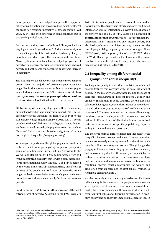lation groups, which have helped to improve their opportunities for participation and recognize their equal rights. Yet the trend for reducing inequality is now stagnating (WB 2016, p. 83), and even reversing in some countries due to changes in political strategies.

Further outstanding cases are India and China, each with a very high economic growth rate. In India, the culturally entrenched inequality of the caste system has hardly changed, or rather exacerbated with the new super rich. In China, Mao's egalitarian socialism hardly helped people out of poverty. The new growth-oriented economic model reduced poverty and at the same time accepted an extreme increase in inequality.

The landscape of global poverty has become more complex overall. Now the majority of extremely poor people no longer live in the poorest countries, but in the most populous middle-income countries (WB 2018). As a result, inequality among the average per-capita-income of individual states has declined in the recent decades.

Global inequality among all people, without considering national borders, has also slightly diminished. The Gini-coefficient<sup>2</sup> of global inequality fell from 69.7 in 1988 to the still extremely high 62.5 in 2013 (WB 2016, p.81). It seems paradoxical that of all things the high growth rates, that exacerbate national inequality in populous countries, such as China and India, have contributed to a slight overall reduction in global inequality (Bourguignon 2015).

Yet a major proportion of the global population continues to be excluded from participating in general prosperity gains, or is falling even further behind. According to the World Bank Report, in 2015 736 million people were still living in extreme poverty, that is with a daily income below the international poverty line of 1.9 US\$ PPP, as defined by the World Bank.<sup>3</sup> In Sub-Saharan Africa, this affects 41 per cent of the population. And many of those who are no longer visible in the statistics as extremely poor live in very precarious conditions and can easily fall back into extreme poverty.

For Brot für die Welt, hunger is the expression of the most extreme form of poverty. According to the FAO (2019), in 2018 821.6 million people suffered from chronic undernourishment. This figure also clearly indicates the limited information value of international poverty figures based on the poverty line of 1.9 US\$ PPP. Based on a definition of multidimensional poverty, which—like the Human Development Index—includes not only income poverty but also health, education and life expectancy, the current figure of people living in poverty amounts to 1,334 billion (UNDP 2018). With a poverty line of 3.2 US\$ PPP, which the World Bank regards relevant in lower middle-income countries, the number of people living in poverty even increases to 1.932 billion (WB 2018).

## 2.2 Inequality among different social groups (horizontal inequality)

Looking at inequality in individual countries, we often find specific features that correlate with the social situation of people. In the majority of cases, these include the place of residence (urban/rural or different regions), gender and ethnicity. In addition, in some countries there is also skin colour, religious groups, caste, class, groups of sexual identity and orientation, age groups, state of health or a migrant background. These features are not the causes of inequality, but the existence of such systematic contexts is a clear indication of different kinds of discrimination, or unresolved historical discrimination of specific population groups resulting in their systematic deprivation.

The most widespread form of horizontal inequality is the inequality between women and men. In most countries, women are severely underrepresented in significant positions in politics, economy and society. The global gender pay gap still sees women earning 23 per cent less than men, and moreover they shoulder the majority of unpaid jobs, for instance, in education and care. In many countries, laws and institutions, and in most countries conventions and/or traditions, prevent equal opportunities for women and girls, often from an early age (cf. Brot für die Welt 2018: Achieving gender equality).

Another example among the many experiences of horizontal inequality is the situation of the people whose ancestors were exploited as slaves. As in most cases, horizontal inequality has many dimensions. It becomes evident in a different cultural values and diverging participation in economy, society and politics with impacts on all areas of life. In

-

<sup>2</sup> The Gini coefficient adopts a value between 0 (when every person receives the same income) and 100 (when one single person receives 100% of the total income i.e. maximal inequality). For example, Germany displays a Gini index value of 31.4 (2013).

<sup>3</sup> PPP stands for »purchasing power parity«, that is, the US\$ is converted to a common currency by using purchasing power parity exchange instead of official currency rates.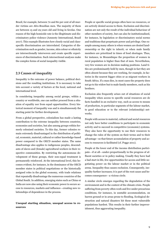Brazil, for example, between 70 and 80 per cent of all murder victims are Afro-Brazilian men. The majority of them are between 15 and 29 years old and living in favelas. One reason of the high homicide rate is the illegitimate and discriminatory police violence (Amnesty International, Brazil 2017). This example illustrates how closely racial and classspecific discrimination are interrelated. Categories of discrimination such as gender, income, skin colour or ethnicity are intersectionally interwoven and create specific experiences of discrimination. Such intersectional analyses make the complex forms of social inequality visible.

#### 2.3 Causes of inequality

Inequality is the outcome of power balance, political decisions and the resulting institutions. It is necessary to take into account a variety of factors at the local, national and international level.

In considering inequality among social groups, within a country or worldwide, one can neither proceed from a situation of equality nor from equal opportunities. Every historical moment of inequality was and is simultaneously the starting point for further development.

From a global perspective, colonialism has made a lasting contribution to the extreme inequality between countries, economies and societies, but also among groups within formerly colonised societies. To this day, former colonies remain extremely disadvantaged in the distribution of political, economic, material, cultural or rather knowledge-based power compared to the OECD member states. The same disadvantage also applies to indigenous peoples, descendants of slaves and (female) agricultural workers in their respective communities. By restricting the autonomous development of these groups, their non-equal treatment is permanently reinforced. At the international level, this becomes evident, for instance, in the dominance of the OECD member states in political negotiations or the historically assigned roles in the global economy, with trade relations that repeatedly disadvantage the numerous countries of the Global South. In addition, emerging states such as China or India are now also using their economic power to secure access to resources, markets and influence—creating new relationships of dependence in the process.

#### Unequal starting situation, unequal access to resources

People or specific social groups often have no resources, or are actively denied access to them. Exclusion and discrimination are not only the result of the individual behaviour of other members of society, but can also be institutionalised, for instance, by legislation or discriminatory social norms and traditions that perpetuate power and privilege. One example among many others is when women are denied landownership or the right to inherit; or when male family members are prioritized in times of food shortages. Thus, for instance, in Mozambique the proportion of women in rural population is higher than that of men. Nevertheless, very few women are in decision making positions. Land titles are predominantly held by men, though in fact they are often absent because they are working, for example, in factories in the nearest bigger cities or as migrant workers in South Africa. If a man dies, in most cases the property does not go to his widow but to male family members, such as his brothers.

Exclusion also frequently arises out of situations of social inequality when access to specific social resources are de facto handled in an exclusive way, such as access to means of production, to particular segments of the labour market, to good education or to the relevant (relationship) networks.

People with access to material, cultural and social resources not only have better conditions to participate in economic activity and to succeed in competitive (economic) systems. They also have the opportunity to use their resources to change the rules of the system on their terms and to their advantage—so that future accumulation of property and access to resources is facilitated (cf. Pogge 2011).

People at the lower end of the income distribution participate—if at all—under-proportionally in the progress of affluent societies or in policy making. Usually they have had a bad start in life, few opportunities for access and little negotiating power on the labour market or in the political arena. Inequality thus causes exclusion. Consequently, inequality further increases; it is part of the root cause and becomes consequence—a vicious circle.

A similar circle emerges regarding the degradation of the environment and in the context of the climate crisis. People suffering from poverty often work and live under precarious conditions, for instance, in unstable accommodation, on barren ground or in areas prone to flooding. Ecological destruction and natural disasters hit these most vulnerable populations hardest. This results in their further impoverishment, thus aggravating inequality.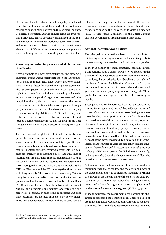On the wealthy side, extreme social inequality is reflected in all lifestyles that disregard the impacts of the production model and consumption patterns on the ecological balance. Ecological destruction and the climate crisis are thus further aggravated. This is especially pronounced in the context of mobility. For instance worldwide tourism in general, and especially the associated air traffic, contribute to every eleventh ton of CO2.Yet air travel remains a privilege of only a few. Only 2–5 per cent of the world population flies at all.

#### Power asymmetries in process and their institutionalisation

A vivid example of power asymmetries are the extremely unequal relations among social partners on the labour market in many countries. They affect wages and work conditions—a crucial factor for inequality. Yet power asymmetry also has an impact on the political arena. Nobel laureate Joseph Stiglitz describes the influence of wealthy stakeholder groups on national political negotiation processes and public opinion: the top tier in particular possessed the means to influence economic, financial and social policies through party donations, media control and cost-intensive lobbying to their own advantage (cf. Stiglitz 2012). Such a barely controlled exertion of power by elites for their own benefit leads to a reinforcement of inequality (cf. Brot für die Welt (2016): Policy Work in and Concerning Emerging Countries).

The framework of the global institutional order is also impacted by the differences in power and influence, for instance in form of the dominance of rich (groups of) countries4 in negotiating international treaties (e.g. trade agreements), in entering into international agreements (e.g. fisheries agreements), or in defining policies and strategies of international organisations. In some organisations, such as the World Bank (WB) and the International Monetary Fund (IMF), voting rights are tied to the equity shares held. At the IMF, the USA alone and the EU states together thus possess a blocking minority. This is one of the reasons why China is trying to initiate alternative structures under its own supremacy, such as the Asian Infrastructure Investment Bank (AIIB) and the »Belt and Road Initiative«. At the United Nations, the principle »one country, one vote« and the principle of consensus applies to major decisions. But even there, decisions are de facto influenced by power imbalances and dependencies. Moreover, there is considerable influence from the private sector, for example, through international business associations or large philanthropic foundations such as the Bill & Melinda Gates Foundation (BMGF), whose political influence on the United Nations and non-governmental organisations is increasing.

#### National institutions and politics

The principal factor at national level that can contribute to reinforcing or reducing economic and social inequality is the economic system based on the fiscal and social policies.

In the 1980s and 1990s, many countries, especially in Asia, Latin America and Eastern Europe, were obliged under pressure of the debt crisis to reform their economic systems: deregulation, privatisation, liberalisation of trade and the financial sector, flexibilization of labour markets, tax holidays and tax reductions for companies and a restricted governmental social policy appeared on the agenda. These political measures all together contributed to increasing inequality.

Subsequently, it can be observed how the gap between the income from labour and capital has widened more and more worldwide—and continues to do so. During these past three decades, the proportion of income from labour has decreased in most of the countries, whereas the proportion of income from capital has increased. Inequality has also increased among different wage groups. On average the incomes of low earners and the middle class have grown considerably more slowly than those of the highest earning ten per cent of the income pyramid. Digitalisation and technological change further exacerbate inequality because innovators, shareholders and investors and a small group of highly qualified employees in the IT industry gain greatly; while others who draw their income from low-skilled jobs benefit to a much lesser extent, or even lose out.

At the same time, the flexibilization of the labour market, a minimum wage that is too low and the declining power of the trade unions also lead to increased inequality, or rather to a growth in the income share of the top ten per cent. Deregulation of the labour market benefits the higher income groups and reduces the negotiating power of employees and workers from the low-income segment (IMF 2015, p. 26).

In many countries, the government does not fulfil its obligation to safeguard the common good. There is a lack of economic and fiscal regulation, of investment in equal opportunities for all and of any redistributive measures. Since

-

<sup>4</sup> Such as the OECD member states, the European Union or the Group of Seven (G7), which allow the former colonial powers to assert their interests.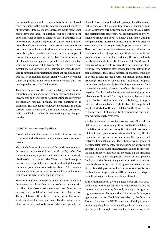the 1980s, huge amounts of capital have been transferred from the public to the private sector in almost all countries of the world. State assets have decreased while private net assets have increased. In addition, public revenue from taxes and other sources is often too low in countries with low or middle income. Corporate tax evasion and a ruinous tax and subsidy race among states to attract investments via tax incentives and state subsidies are undermining the national budgets of low-income countries. One example of this are the maquiladoras, the Central American factories of international companies, especially in textile industry, which produce mostly duty free for the US market. These sweatshops basically exist in a legal vacuum where the prevailing national labour legislation is not applicable and controlled. The companies produce cheaply with low personnel costs; the production materials are supplied also duty free by the purchasers of the final product.

There are numerous other cases involving problems with corruption and nepotism. As a result, the scope for public investments and for creating political options to correct the exceptionally unequal primary income distribution is shrinking. This also leads to a lack of investments in public services such as education, health and social protection, which could help to reduce the extreme inequality of opportunities.

#### Global investments and politics

Global factors and their direct and indirect impacts on international and national inequality must also be taken into account.

These include several elements of the world economic order, such as unfair conditions in world trade, unfair free trade agreements, asymmetric protectionism or the subsidisation of export commodities. The externalisation of production costs, especially in terms of local and global environmental pollution, must also be mentioned. This imposes immense costs for entire societies both at home and abroad, while yielding great profits for a select few.

Some multinational enterprises have achieved a market dominance that allows them to set profit-maximising pricing. They often also control the market through aggressive ousting, and denial of market access to other actors. Through lobbying, they also exert influence on the framework conditions for the whole sector. This becomes very evident in the raw materials sector, which is especially inclined to form monopolies due to geological and technological factors. Yet, at the same time targeted outsourcing is used to outsource corporate responsibility for the ecological and social impacts of raw material procurements and workintensive production flows. As a new global actor, China is now particularly interested in securing its growth-oriented economic system through cheap imports of raw material. Here, the close cooperation between a national elite and international actors often provides profits for a few, while the population of the country producing the raw materials hardly benefits at all (cf. Brot für die Welt 2017). Investments into large agricultural areas for the production of agricultural raw materials often lead to land conflicts and the displacement of local small farmers, or exacerbate the lack of access to land for the poorer population groups (land grabbing). The use of patents and intellectual property rights also predominantly benefits large companies from industrial countries, whereas the effects for the poor are negative. Conflicts arise because strong emerging economies such as China and India try to evade or ignore patent rights. Controversial in this context is India's generic production, which enables a cost-effective drug-supply not only for India but for the entire Global South. However, due to the pressure of pharmaceutical corporations this is becoming increasingly restricted,

Another economical cause for growing inequality is financialisaton: the increasing significance of the financial sector in relation to the real economy (i.e. financial investors in relation to entrepreneurs), which was facilitated by the deregulation and opening of former nationally regulated and restricted financial markets. The extremely rapid spread of new financial instruments, the increasing prioritization of corporate policies based on shareholder values, the increasing significance of institutional investors on the financial markets (insurance companies, hedge funds, pension funds, etc.), the dramatic expansion of credit and investment business in the form of mortgages and securitisation of credits and deposits as well as the enormous profits from tax-free financial speculation: all these financial trends promote the unequal distribution of capital assets.

At international level, there is a lack of political will to establish appropriate guidelines and regulations. So far, the international community has only managed to agree on vague statements of intent with no binding resolutions, obligations or control. The initiatives taken by the Group of Twenty (G20) and the OECD to avoid capital flight, money laundering, illegal tax evasion and legal tax avoidance have been steps into the right direction, but remain far too weak.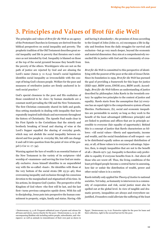# 3. Principles and Values of Brot für die Welt

The principles and values of Brot für die Welt as an agency of the Protestant Churches in Germany are derived from the biblical perspectives on social inequality and poverty. The prophetic tradition of the Old Testament describes great social inequality and life in poverty that threaten one's existence as not intended by God. Inequality is blamed on those at the top of the social pyramid because they benefit from the poverty of the others. Worshippers who are not on the path of justice are rejected by God and are abusing the Lord's name (Amos 5: 11–6,14). Israel's social legislation identifies social inequality as irreconcilable with the concept of being God's chosen people. Welfare for the poor and measures of retributive justice are firmly anchored in Israeli social practice.<sup>5</sup>

God's special closeness to the poor and His exaltation of those considered to be »low« by human standards are a constant motif pervading the Old and the New Testaments. The first Christian community shared its faith and goods, thus setting standards in dealing with inequality that have repeatedly inspired individuals and movements throughout the history of Christianity. The Apostle Paul made clear in his First Epistle to the Corinthians that the sisterly and brotherly breaking of bread and sharing of wine at the Lord's Supper equalled the sharing of everyday goods, which may not abolish the social inequality between enslaved and free people in everyday life, but still can change it and call it into question from the point of view of the gospel (1 Cor 11: 17–34).

Warning against the lure of wealth is an essential feature of the New Testament in the variety of its scriptures-idol worship of »mammon« and serving the true God are mutually exclusive. Jesus himself identifies in an unparalleled way with the so-called »least«. He identifies with those at the very bottom of the social strata (Mt 25:31–46), thus overcoming inequality and exclusion through his conscious devotion to the marginalised and stigmatised of his time. In his actions, he deepens God's justice. The perspective of the Kingdom of God where »the first will be last, and the last first« turns previous categories upside down. With his call to discipleship, Jesus puts into perspective the human commitment to property, origin, family and status. Having »life and having it abundantly«, the promises of Jesus according to the Gospel of John (John 10, 10) encompass a life in dignity and freedom from the daily struggles for survival and exclusion—but go very much deeper, beyond the economic and material dimension: they aim at a comprehensively reconciled life in justice with God and the community of creation.

Brot für die Welt is committed to this perspective of identifying with the poorest of the poor at the side of Jesus Christ. Since its foundation in 1959, Brot für die Welt has pursued the goal of providing a framework for this hope for justice (EKD 1997, BfdW 2000, EWDE 2011, BfdW 2018). Accordingly, Brot für die Welt follows an understanding of justice described by philosopher John Rawls in the twentieth century: he applies two principles to the context of justice and equality. Rawls starts from the assumption that (a) everyone has an equal right to the comprehensive system of basic liberties. Furthermore, (b), social and economic inequalities are permissible in society as long as they work to the benefit of the least advantaged (difference principle) and are linked to positions and offices that are in principle accessible to everyone (fair equality of opportunity). Behind this is a concept of justice that Rawls characterises as follows: »All social values—liberty and opportunity, income and wealth, and the social foundations of self-respect—are to be distributed equally unless an unequal distribution of any, or all, of these values is to everyone's advantage. Injustice, then, is simply inequalities that are not to the benefit of all.« (Rawls 1971: 54). Inequality is therefore only preferable to equality if everyone benefits from it—but above all those who are worst off. Thus, the living conditions of the least privileged people become a central factor in assessing, how fair or unfair the distribution of wealth, power and other social values is in a society.

Rawls initially only applied his Theory of Justice to national societies. Yet today, as humanity is interwoven in a community of cooperation and risk, social justice must also be spelled out at the global level. In view of tangible and dramatic poverty, inequalities are always and everywhere unjustified, if transfers could alleviate the suffering of the least

-

<sup>5</sup> Deuteronomy 15, 4-18: Frequent sabbatical years of grants and release for all loans and slaves, mercy/charity for the poor / Deuteronomy 5, 12-15: Allencompassing Shabbat rule including unfree people, subordinates, and »foreigners« as well as animals in remembrance of their own past as slaves in

Egypt / Deuteronomy 24, 6-22: Protective rights for the poor for loans and their collection, right to the second harvest for the poor.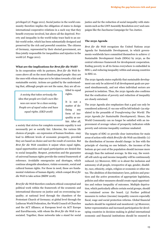privileged (cf. Pogge 2011). Social justice in the world community therefore implies the obligation of states to design international cooperative relations in a such way that they benefit everyone involved, but above all the deprived. Poverty and inequality in the world today trace back to an unfair world order, which has been substantially designed and preserved by the rich and powerful countries. The citizens of Germany, represented by their elected government, are thus jointly responsible for inequalities and injustice in the world (cf. Pogge 2011).

#### What are the implications for Brot für die Welt?

In its cooperation with its partners, Brot für die Welt focuses above all on the most disadvantaged people: they are the ones with whom steps are to be taken towards a fair and sustainable society. Actions are guided by the understanding that, although people are not the same, they are all en-

A society that takes seriously the idea that people are God's own likeness can never be a class society. People are of equal value and have equal rights. (EKD 2018)

titled to equal rights.

It is not a matter of defining any form of inequality as unfair. After all,

a society that strives for complete economic equality is not necessarily per se socially fair. Likewise, the various life choices of people—an expression of human freedom—may lead to different levels of economic prosperity, provided they are based on choice and not the result of coercion. But Brot für die Welt considers it unjust when equal rights, equal opportunities and equal participation are denied due to social inequality. Respect, protection and the guarantee of universal human rights provide the central framework of reference. Avoidable emergencies and shortages, which continue alongside abundance, violate economic, social and cultural human rights. For those in need, these are fundamental violations of human dignity, which compel Brot für die Welt to take action (BfdW 2018).

Brot für die Welt therefore conducts ethical-conceptual and political work within the framework of the ecumenic and international discourse on justice and on overcoming inequality; at national level through the chambers of the Protestant Church of Germany; at global level through the Lutheran World Federation, the World Council of Churches and the ACT Alliance; at European level via ACT Europe and EuroDiaconia, with whom the Brot für die Welt is associated. Together, these networks take a stand for social justice and for the reduction of social inequality with statements such as the LWF Assembly Resolution 2017 and campaigns like the Zacchaeus Campaign for Tax Justice.

#### The 2030 Agenda

Brot für die Welt recognizes the United Nations 2030 Agenda for Sustainable Development, in which governments worldwide have committed themselves to achieve 17 Sustainable Development Goals (SDGs) by 2030, as the central reference framework for development cooperation. Ending poverty in all its forms everywhere is embedded in SDG 1, and reducing inequality within and among countries in SDG 10.

The 2030 Agenda states explicitly that sustainable development can only be achieved if all development goals are pursued simultaneously, and not when individual sectors are pursued in isolation. Thus, the 2030 Agenda also confirms that the eradication of poverty and reduction of inequality are closely entwined.

The 2030 Agenda also emphasizes that a goal can only be considered achieved, if »no one will be left behind« (as stipulated in the preamble of Transforming Our World: The 2030 Agenda for Sustainable Development). Hence, the World Community can no longer be satisfied with an improvement of average values of prosperity indicators while poverty and extreme inequality continue unabated.

The targets of SDG 10 provide clear instructions for main areas of action with which Brot für die Welt can identify: (1) the distribution of income should change: in line with the principle of »leaving no one behind«, the incomes of the bottom 40 per cent of the population should increase more strongly than the national average. In this way, the worstoff will catch up and income inequality will be continuously reduced. (2) Moreover, SDG 10 is about the inclusion and autonomy of all people, irrespective of age, gender, disability, race, ethnicity, origin, religion or economic or other status. The abolition of discriminatory laws, policies and practices and the active promotion of appropriate legislation, policies and other measures should create equal opportunities and reduce inequality of outcomes. Multiple deprivation, which particularly affects certain social groups, should be contained across the board. (3) Further political measures to reduce (income) inequality concern especially fiscal, wage and social protection reforms. Global financial markets should be regulated and monitored. (4) Moreover, better representation and increased participation for developing countries in decision-making in global international economic and financial institutions should be ensured in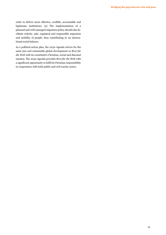order to deliver more effective, credible, accountable and legitimate institutions. (5) The implementation of a planned and well-managed migration policy should also facilitate orderly, safe, regulated and responsible migration and mobility of people, thus contributing to an international social balance.

As a political action plan, the 2030 Agenda strives for the same just and sustainable global development as Brot für die Welt with its constitutive Christian, social and diaconal mission. The 2030 Agenda provides Brot für die Welt with a significant opportunity to fulfil its Christian responsibility in cooperation with both public and civil society actors.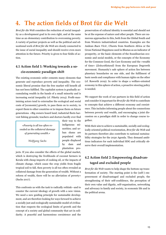# 4. The action fields of Brot für die Welt

Brot für die Welt considers the reduction of social inequality as a development goal in its own right, and at the same time as an elementary contribution to overcoming poverty. A variety of partner projects as well as the political and educational work of Brot für die Welt are closely connected to the issue of social inequality and should receive even more attention in the future. Priority is given to four fields of action.

## 4.1 Action field 1: Working towards a socio-economic paradigm shift

The existing economic order cements many elements that generate and reproduce poverty and inequality. The economic liberal promise that the free market will benefit all has not been fulfilled. The capitalist system is gradually accumulating wealth in the hands of a small minority and is increasing social inequality (cf. Piketty 2014). Profit-maximising actors tend to externalise the ecological and social costs of [economic] growth, to pass them on to society, to export them to other countries or to impose them on future generations. »Big owners hoard land; industrial fleets harvest fishing grounds; teachers and doctors hardly ever find

»Poverty is all too often revealed as the collateral damage of generating wealth.«

Wolfgang Sachs

indigenous minorities; and urban slums are populated with people displaced by dam and plantation pro-

their way to the

jects. If you also consider the effects of the global market, which is destroying the livelihoods of coconut farmers in Kerala with cheap imports of cooking oil, or the impacts of climate change, which cause the crop yields from fragile tropical soil to fall, then poverty is all too often revealed as collateral damage from the generation of wealth. Without a reform of wealth, there will be no alleviation of poverty« (Sachs 2017).

This confronts us with the task to radically rethink—and to counter the current ideology of growth with a new vision. We need a new guiding principle for sustainable development, and are therefore looking for ways forward to achieve a socially just and ecologically sustainable model of civilisation that respects the ecological limits of growth and the concept of a society and global community that act in solidarity. A peaceful and harmonious coexistence and the preservation of cultural identity is essential and should not be at the expense of nature and other people. There are numerous approaches to this, both from the Global South and from Western industrialized countries. Examples are the Andean Buen Vivir, Ubuntu from Southern Africa or the Gross National Happiness used in Bhutan as an indicator of prosperity, or the basic elements of the Scandinavian economic and social models, or the concepts of the Economy for the Common Good, the Care Economy and the »wealth of time« (Zeitwohlstand) from the European Degrowth movement. Humanity's safe sphere of action lies between planetary boundaries on one side, and the fulfilment of basic needs and compliance with human rights on the other (cf. Raworth 2019). In order to shape a welfare-oriented economy in this sphere of action, a proactive steering policy is needed.

We support the work of our partners in this field of action and consider it important for Brot für die Welt to contribute to concepts that achieve a different economy and coexistence. This includes informing people about the connections between poverty and wealth, and encouraging a joint discussion on a paradigm shift in order to change course together.

With their aim to achieve a sustainable, socially and ecologically oriented political reorientation, Brot für die Welt and its partners therefore also contribute to national sustainability strategies for the 2030 Agenda. They demand ambitious indicators for each individual SDG and critically observe their overall implementation.

## 4.2 Action field 2: Empowering disadvantaged and excluded people

Brot für die Welt wants to help shape the bottom-up transformation of society. The starting point is the (self-) empowerment of disadvantaged and excluded people, the strengthening of their self-confidence, the perception of their own value and dignity, self-organisation, networking and advocacy in family and society, in economic life and in the political arena.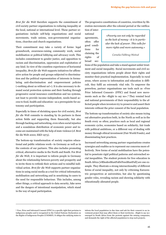Brot für die Welt therefore supports the commitment of civil society partner organisations in reducing inequality at the local, national or international level. These partner organisations include self-help organisations and social movements, trade unions, non-governmental organisations, churches and church organisations.

Their commitment may take a variety of forms: legal groundwork, awareness-raising community work, social mobilisation or political lobbying and advocacy work. This includes commitment to gender justice, and opposition to racism and discrimination, oppression and exploitation of any kind. In view of the countless experiences of horizontal inequality, Brot für die Welt supports initiatives for affirmative action for people and groups subjected to discrimination and the political representation of interests in formulating anti-discrimination and empowerment policies (»nothing about us without us!«). It is also necessary to demand social protection systems and their funding through progressive social insurance contribution and tax systems, not least to provide income-independent, needs-based access to food, health and education—as a prerequisite for autonomy and participation.

Especially in times of shrinking space for civil society, Brot für die Welt commits to standing by its partners in these action fields and supporting them financially, but also through backing and networking, even when social injustice and a scandalous distribution of economic power and income are maintained with the help of state violence (cf. Brot für die Welt 2000; EKD 1973).

The bottom-up transformation of society requires educational and public relations work—in Germany as well as in the contexts of our partners. This also includes promoting critical, alternative media in the North and South. For Brot für die Welt, it is important to inform people in Germany about the relationship between poverty and prosperity and to invite them to rethink their actions and to mindful individual action. Brot für die Welt supports partner organisations in using social media as a tool for critical information, mobilisation and networking and in sensitizing its users to the need for responsible behaviour. This includes, among other things, a critical approach to data security, fake news and the dangers of intentional manipulation, which stand in the way of equal participation.

The progressive constitutions of countries, rewritten by liberation movements after the colonial period or the ratifica-

national agreements, often offer good conditions for claiming the rights of broad sec-

tion of inter-

»Poverty can not only be regarded as the lack of money-it is in particular the lack of power. This calls for more rights and more autonomy.«

#### Cornelia Füllkrug-Weitzel

tions of the population and take a stand against unfair treatment and social inequality. Social movements and civil society 0rganisations inform people about their rights and monitor their practical implementation. Especially in rural areas, where access to information and education is difficult, they fulfil an extremely vital role. To empower the powerless, partner organisations use tools such as »Free Prior Informed Consent« (FPIC) and found new movements such as the »Right to say no«.<sup>6</sup> They remind local and national governments of their responsibility to the affected people when investors try to preserve and assert their interests without the prior consent of the local population.

The bottom-up transformation of society also means trying out alternative practices both, in the North as well as in the South every so often; practices such as local and regional economic cycles, economies based on solidarity, fair trade with political ambitions, or a different way of dealing with money through ethical investment (Fair World Fonds), and disseminating best practices.

Increased networking among partner organisations creates synergies and enables us to represent our concerns more effectively. New forms of social mobilisation have the potential to penetrate rigid political patterns and entrenched social inequalities. The student protests for free education in South Africa [#RhodesMustFall#FeesMustFall] are one example. They illustrate a strong intersectionality of different forms of social inequality, not only by criticising Eurocentric perspectives at universities, but also by questioning gender roles, revealing racism and showing solidarity with educationally alienated people.

-

inform the local population in due time and ask for their consent to an investment project that may affect them or their territories. »Right to say no« emerged in South Africa from the protests against the mining companies, and demands the right of the affected population to stop such projects.

<sup>6</sup> Free, Prior and Informed Consent (FPIC) is a specific right that pertains to indigenous peoples and is recognised in the United Nations Declaration on the Rights of Indigenous Peoples (UNDRIP). It obliges the ratifying states to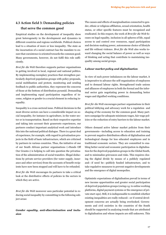## 4.3 Action field 3: Demanding policies that serve the common good

Empirical studies on the development of inequality show great heterogeneity in the development and dynamics in different countries and regions worldwide. Political choices lead to a situation of more or less inequality. The state as the incarnation of a social contract has the mandate to ensure that coexistence is oriented towards the common good. Many governments, however, do not fulfil this role sufficiently.

Brot für die Welt therefore supports partner organisations in getting involved in local, regional and national politics. By implementing exemplary practices that strengthen particularly deprived population groups with policy proposals, social mobilisation and protest, monitoring and sending feedback to public authorities, they represent the concerns of those at the bottom of distribution pyramid. Demanding and implementing equal participation regardless of income, religion or gender is a crucial element in reducing inequality.

Inequality is a cross-sectoral issue. Political decisions in the most diverse sectors can have a considerable impact on social inequality, for instance in agriculture, in the water sector or in transportation. Based on their respective expertise and taking into account their grassroots experiences, our partners conduct important analytical work and introduce this into the national political dialogue. There is a great deal of experience, for example, with regard to privatisation projects in the field of basic infrastructure, which are criticised by partners in various countries. Thus, the initiative of one of our South African partner organisations (»Hands Off Our Grants«) is helping to call into question the privatisation of the administration of social transfers. Illegal deductions by private service providers (for water supply, insurance and other services) from the accounts of benefit recipients have now been stopped and will have to be refunded.

Brot für die Welt encourages its partners to take a critical look at the distributive effects of policies in the sectors in which they are active.

Brot für die Welt moreover sees particular potential in reducing social inequality by committing to the following subject areas:

Gender equality, anti-discrimination and inclusion

The causes and effects of marginalisation connected to gender, ethnic or religious affiliation, sexual orientation, health status, or other specific features must be recognized and eradicated. In this respect, the work of Brot für die Welt focuses on legal equality, inclusion in all spheres of life, equal access to and control over resources, equal participation and decision-making power, autonomous choice of lifestyle and life without violence. Brot für die Welt also works toward changing the social balance of power as well as ways of thinking and acting that contribute to maintaining inequality among social groups.

#### Labour market policy and digitalisation

In view of such power imbalances on the labour market, it is imperative to advance the self-organisation of employees and to demand labour rights. Strengthened trade unions and alliances of employees in both the formal and the informal sector gain negotiating power in demanding better wages and dignified working conditions.

Brot für die Welt encourages partner organisations in their political lobbying and advocacy work for a regulation and shaping of the economy for the common good. Many partners campaign for adequate minimum wages, fair wage policies or the reduction of entry barriers to the labour market.

Others demand active labour market policies from their governments—including access to education and training to prevent negative distribution effects of digitalisation and technological change for less educated employees and in traditional economic sectors. They are committed to enabling better social and economic participation in digitalisation for the deprived population groups in the Global South, and to minimalize grievances and risks. This requires closing the digital divide by means of a publicly regulated and-if need be-publicly funded infrastructure, and to take regulative measures to prevent negative developments and the emergence of digital monopolies.

Optimistic expectations of digitalisation prevail in terms of new income opportunities and greater social participation of deprived population groups (owing e.g. to online working platforms, digital payment systems or the emergence of private start-ups). Still, it is indispensable to establish whether existing inequalities are really reduced—or if central development concerns are actually being overlooked. Governments and civil societies in the countries of the South should be supported in analysing trends that are attributed to digitalisation and whose impacts are still unknown. This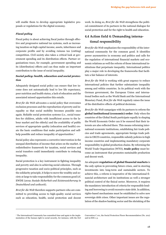will enable them to develop appropriate legislative proposals or regulations for the digital economy.

#### Fiscal policy

Fiscal policy is about achieving fiscal justice through effective and progressive national tax systems, such as increasing taxation on high capital income, assets, inheritance and corporate profits and by avoiding ruinous tax (cutting) competition. Civil society also takes a critical look at government spending and its distribution effects. Partner organisations trace, for example, government spending and its (distribution) effects and can thus make an important contribution to the issue of social inequality.

#### Social policy: health, education and social protection

Adequately designed social policy can ensure that low income does not automatically lead to low life expectancy, poor nutrition and health status, a lack of education and the associated missed opportunities this entails.

Brot für die Welt advocates a social policy that overcomes exclusion processes and the reproduction of poverty and inequality so that social mobility becomes possible once again. Reliable social protection systems (i.e., social transfers for children, adults with insufficient access to the labour market and the elderly) and the availability of public services of appropriate quality (education and health) create the basic conditions that make participation and selfhelp possible and reduce inequality of opportunities.<sup>7</sup>

Social policy also represents a corrective intervention in the unequal distribution of income that arises on the market. A redistributive framework for taxation, social services and social transfers could immediately contribute to reducing inequality.

Social protection is a key instrument in fighting inequality and poverty and also in achieving social cohesion. Through progressive taxation and socio-political principles, such as the solidarity principle, it helps to move the wealthy and society at large to take responsibility for the common good (cf. EWDE (2019: Soziale Sicherheit und Existenzsicherung in Deutschland und weltweit).

Brot für die Welt therefore supports partners who are committed to providing access to high-quality social services such as education, health, social protection and decent work. In doing so, Brot für die Welt strengthens the political commitment of its partners in the national dialogue for social protection and for the right to health and education.

## 4.4 Action field 4: Demanding international responsibility

Brot für die Welt emphasizes the responsibility of the international community for the common good. It identifies power asymmetries in economy and politics and calls for the regulation of international financial markets and economic relations as well the reform of those international institutions that perpetuate inequality. International politics play a major role in developing the frameworks that facilitate a fair balance of interests.

Brot für die Welt is working with great urgency to reduce international policies that further substantiate inequality among and within countries. In its political work with the German government, the European Union and international bodies such as the World Bank and the International Monetary Fund, Brot für die Welt regularly raises the issue of the distributive effects of political decisions.

Brot für die Welt campaigns with its partners to reform the global institutional (economic) order. Only when the countries of the Global South participate equally in shaping the World Economic Order can it be ensured that their interests are also reflected there. This means reforming international economic institutions, establishing fair trade policies and trade agreements, appropriate foreign trade policies in OECD countries, responsible subsidy policies in high income countries and implementing mandatory corporate responsibility in global production chains. By reforming the World Trade Organisation (WTO), trade policy must become an instrument that promotes sustainable production and decent work.

An adequate regulation of global financial markets is the only option in preventing future crises, and in steering investments into long-term and sustainable sectors. To achieve this, a reform is imperative of the international financial architecture and its institutions as well a stronger political control of the finical sector. Moreover, it requires the mandatory introduction of criteria for responsible lending and borrowing to avoid excessive state debt. In addition, rights-based mechanisms must be established to solve new sovereign debt crises. Other important issues are the regulation of the shadow banking sector and the shrinking of the

-

<sup>7</sup> The International Community has committed time and again to the implementation of the human right to social security, for instance, with the ILO

Convention C 101, the Social Protection Floors Recommendation (No. 202) and in SDG 1.3.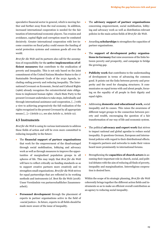speculative financial sector in general, which is moving further and further away from the real economy. In addition, increased international cooperation is needed for the fair taxation of international economic players. Tax evasion and avoidance, capital flight and corruption must be combated decisively. Greater international cooperation with low-income countries on fiscal policy could ensure the funding of social protection systems and common goods all over the world.

Brot für die Welt and its partners also call for the assumption of responsibility for the active implemention of efficient measures that contribute to the eradication of poverty and inequality. This is not only based on the joint commitment of the United Nations Member States to the 17 Sustainable Development Goals of the 2030 Agenda, including ending poverty and reducing inequality. The International Covenant on Economic, Social and Cultural Rights (1966) already recognizes the extraterritorial state obligations to implement human rights: »Each State Party to the present Covenant undertakes to take steps, individually and through international assistance and cooperation, […] with a view to achieving progressively the full realization of the rights recognized in the present Covenant by all appropriate means […].« (Article 2.1, see also Article 11, Article 12).

#### 4.5 Instruments

Brot für die Welt is using its various instruments to address these fields of action and will be even more committed to reducing inequality in the future:

- The financial support of partner organisations that work for the empowerment of the disadvantaged through social mobilisation, lobbying and advocacy work as well as through measures to improve the opportunities of marginalised population groups in all spheres of life. This may imply that Brot für die Welt will have to reflect critically on funding standards so as to support creative partners more creatively and to strengthen small organisations. Brot für die Welt strives for equal partnerships that are reflected in its working methods and instruments (cf. Brot für die Welt (2018): Unser Verständnis von partnerschaftlicher Zusammenarbeit).
- Personnel development through the placement of experts in partner organisations active in the field of »social justice«. In future, experts in all fields should be made more aware of the issue of inequality.
- The advisory support of partner organisations concerning empowerment, social mobilisation, lobbying and advocacy work as well as distribution-relevant policies in the main action fields of Brot für die Welt.
- Awarding scholarships to strengthen the capacities of partner organisations.
- The support of development policy organisations in Germany that raise awareness of the links between poverty and prosperity, and campaign to bridge the growing gap.
- Publicity work that contributes to the understanding of development in terms of advancing the common good. It points out the links between poverty and prosperity and the need for changing structures. It communicates on equal terms with and about people, focusing on the equality of all people in their dignity and equal rights.
- Addressing domestic and educational work, social inequality and its causes. This raises the awareness of different target groups to the connection between poverty and wealth, encouraging the question of a fair transformation of our way of life and economic system.
- The political advocacy and expert work that strives to impact national and global agendas to reduce social inequality. It questions German, European and international policies with regard to their distributional effects. It supports partners and networks to make their voices heard more prominently in international forums.
- Strengthening the capacities of church actors in assuming their important role in church, social, and political debates with the aim of reducing all finds of poverty, inequality and marginalization. Interreligious cooperation is desired here.

Within the scope of its strategic planning, Brot für die Welt coherently brings together the different action fields and instruments so as to make an efficient overall contribution as an agency to reducing social inequality.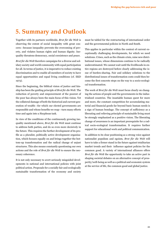# 5. Summary and Outlook

Together with its partners worldwide, Brot für die Welt is observing the extent of social inequality with great concern—because inequality prevents the overcoming of poverty, and violates human rights and human dignity. Inequality threatens democracy, social coexistence and peace.

Brot für die Welt therefore campaigns for a diverse and solidary society and world community with equal participation for all. In terms of justice, it is imperative to reduce existing discrimination and to enable all members of society to have equal opportunities and equal living conditions (cf. EKD 1973).

Since the beginning, the biblical vision of justice and kinship has been the guiding principle of Brot für die Welt. The reduction of poverty and empowerment of the poorest of the poor has always been the main focus of this vision. Yet the collateral damage of both the historical and current generation of wealth—for which our elected governments are responsible and whose benefits we reap—turn many efforts time and again into a Sisyphean task.

In view of the conditions of the continuously growing inequality mentioned above, Brot für die Welt must continue to address both parties, and do so even more decisively in the future. This requires the further development of its profile as a pluralist, politically active development organisation, which focuses equally on and brings together the bottom-up transformation and the radical change of unjust structures. This also means constantly questioning our own actions and the role of Brot für die Welt to ensure the necessary coherence.

It is not only necessary to avert seriously misguided developments in national and international policies with joint political action. Proposals for a socially fair and ecologically sustainable transformation of the economy and society must be tabled for the restructuring of international order and the governmental policies in North and South.

This applies in particular within the context of current exceptionally challenging developments, for which we need solutions. Crises, such as the climate crisis, raise new distributional issues, whose dimensions continue to be radically underestimated. We cannot wait until the livelihoods in entire regions are destroyed before clearly addressing the issue of burden-sharing. Fair and solidary solutions to the distributional issues of transformation costs could then become the first concrete steps on the way to a socio-ecological transformation.

The work of Brot für die Welt must focus clearly on changing the actions of people and the governments in the industrialized countries. The insatiable human quest for more and more, the constant competition for accumulating material and financial goods far beyond basic human needs is a sign of human bondage. The concept of sufficiency as a liberating and relieving principle of sustainable living must be strongly emphasized as a positive vision. The liberating change of awareness is an important prerequisite for a radical socio-ecological transformation. It requires further support for educational work and political communication.

In addition to its clear positioning as a strong voice against nationalist populism and egoism, Brot für die Welt will have to take a firmer stand in the future against totalitarian market trends and their influence against policies for the common good. A variety of international alliances offers Brot für die Welt the opportunity to take an active part in shaping societal debates on an alternative concept of prosperity/well-being as well as a political and economic system at the service of life, the common good and global justice.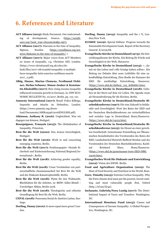# 6. References and Literature

- ACT Alliance (2015): Study Document: Our understanding of development, Geneva. (https://actalliance.org/?post\_type=documents&p=997).
- ACT Alliance (2017): Diaconia in the time of inequality, Sigtuna, Sweden. (https://actalliance.org/actnews/diakonia-in-the-time-of-inequality/ ).
- ACT Alliance (2017): Major voices from ACT Members on issues of inequality, e.g. Christian AID, London. (https://www.christianaid.org.uk/sites/default/files/2017-08/scandal-inequality-2-multiplefaces-inequality-latin-america-caribbean-march-2017\_2.pdf).
- Albig, Hanne, Marius Clemens, Ferdinand Fichtner, Stefan Gebauer, Simon Junker & Konstantin Kholodilin (2017): How rising income inequality influenced economic growth in Germany, in: DIW ECO-NOMIC BULLETIN No. 10/2017, Berlin, pp. 113–121.
- Amnesty International (2017): Brazil: Police Killings, Impunity and Attacks on Defenders, London. (https://www.amnesty.org/down-

load/Documents/AMR1954672016ENGLISH.pdf).

Atkinson, Anthony B. (2016): Ungleichheit. Was wir dagegen tun können, Stuttgart.

- Bourguignon, François (2015): The Globalization of Inequality, Princeton.
- Brot für die Welt (2000): Den Armen Gerechtigkeit, Stuttgart.
- Brot für die Welt (2016): Work in and concerning emerging countries, Berlin.
- Brot für die Welt (2017): Positionspapier »Soziale Sicherheit und Existenzsicherung National/Regional/International«, Berlin.
- Brot für die Welt (2018): Achieving gender equality, Berlin.
- Brot für die Welt (2018): Unser Verständnis von partnerschaftliche Zusammenarbeit bei Brot für die Welt und der Diakonie Katastrophenhilfe, Berlin.
- Brot für die Welt (2018): Platin für den Weltmarkt, Blechhütten für die Arbeiter, in: BfdW: Edles Metall – Unwürdiger Abbau, Berlin 2018.
- Brot für die Welt (2018): Theologische und ethische Grundlegung für Brot für die Welt, Berlin.
- CEPAL (2018): Panorama Social de América Latina, Santiago.
- Dorling, Danny (2010): Is more equal more green? London.
- Dorling, Danny (2014): Inequality and the 1 %, London/New York.
- ECOSOC (2019): Special Edition: Progress towards the Sustainable Development Goals. Report of the Secretary General. E/2019/68.
- Evangelische Kirche in Deutschland (1973): Die Entwicklungsdienste der Kirche. Ein Beitrag für Friede und Gerechtigkeit in der Welt, Hannover.
- Evangelische Kirche in Deutschland (2015): »...damit sie das Leben und volle Genüge haben sollen«. Ein Beitrag zur Debatte über neue Leitbilder für eine zukunftsfähige Entwicklung. Eine Studie der Kammer der EKD für nachhaltige Entwicklung, Hannover. (https://www.ekd.de/ekdtext\_122\_leitbilder.htm).
- Evangelische Kirche in Deutschland (2018): Geliehen ist der Stern auf dem wir Leben. Die Agenda 2030 als Herausforderung für die Kirchen, Berlin.
- Evangelische Kirche in Deutschland/Deutsche Bischofskonferenz (1997): Für eine Zukunft in Solidarität und Gerechtigkeit. Wort des Rates der EKD und der Deutschen Bischofskonferenz zur wirtschaftlichen und sozialen Lage in Deutschland, Bonn/Hannover. (https://www.ekd.de/24153.htm).
- Evangelische Kirche in Deutschland/Deutsche Bischofskonferenz (2015): Im Dienst an einer gerechten Gesellschaft. Gemeinsame Feststellung zur Ökumenischen Sozialinitiative des Vorsitzenden des Rates der EKD, Landesbischof Heinrich Bedford-Strohm und des Vorsitzenden der Deutschen Bischofskonferenz, Kardinal Reinhard Marx, Bonn/Hannover. (https://www.ekd.de/gemeinsame-texte-EKD-DBK-23016.htm).
- Evangelisches Werk für Diakonie und Entwicklung (2012): Vision des EWDE. Berlin.
- Food and Agriculture Organization (2019): The State of Food Security and Nutrition in the World, Rom.
- Gore, Timothy (2015): Extreme Carbon Inequality. Why the Paris climate deal must put the poorest, lowest emitting and most vulnerable people first, Oxford (http.//of.am/Ze4e).
- Inchauste, Gabriela/Nora Lustig (2017): The Distributional Impact of Taxes and Transfers. Washington, DC.
- International Monetary Fund (2015): Causes and Consequences of Income Inequality: A Global Perspective, Washington, DC.